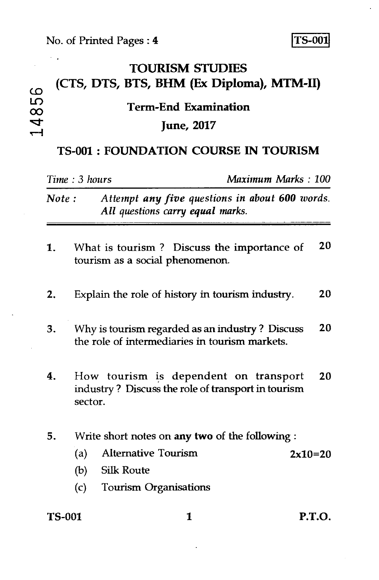$\mathcal{L}^{\mathcal{L}}$ 

 $\Omega$ LŊ  $\infty$  $\frac{1}{4}$ 

## $\langle\cdot\rangle_{\bullet}$  . **TOURISM STUDIES (CTS, DTS, BTS, BHM (Ex Diploma), MTM-II) Term-End Examination June, 2017**

## **TS-001 : FOUNDATION COURSE IN TOURISM**

| Time: 3 hours |                                                                                                              |                                                                                    | Maximum Marks: 100 |  |
|---------------|--------------------------------------------------------------------------------------------------------------|------------------------------------------------------------------------------------|--------------------|--|
| Note:         |                                                                                                              | Attempt any five questions in about 600 words.<br>All questions carry equal marks. |                    |  |
| 1.            |                                                                                                              | What is tourism? Discuss the importance of<br>tourism as a social phenomenon.      | 20                 |  |
| 2.            |                                                                                                              | Explain the role of history in tourism industry.                                   | 20                 |  |
| 3.            | 20<br>Why is tourism regarded as an industry? Discuss<br>the role of intermediaries in tourism markets.      |                                                                                    |                    |  |
| 4.            | How tourism is dependent on transport<br>20<br>industry? Discuss the role of transport in tourism<br>sector. |                                                                                    |                    |  |
| 5.            | Write short notes on any two of the following :                                                              |                                                                                    |                    |  |
|               | (a)                                                                                                          | Alternative Tourism                                                                | $2x10=20$          |  |
|               | (b)                                                                                                          | <b>Silk Route</b>                                                                  |                    |  |
|               | (c)                                                                                                          | <b>Tourism Organisations</b>                                                       |                    |  |
| <b>TS-001</b> |                                                                                                              | 1                                                                                  | <b>P.T.O.</b>      |  |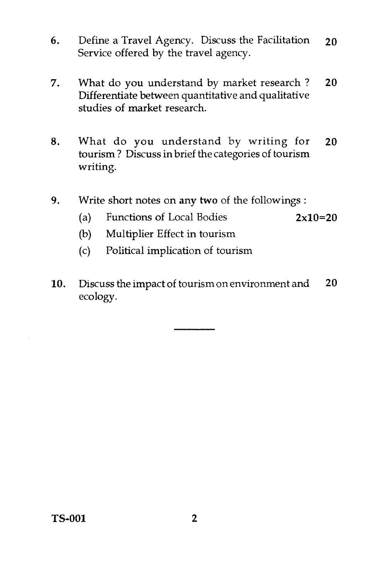- 6. Define a Travel Agency. Discuss the Facilitation 20 Service offered by the travel agency.
- 7. What do you understand by market research ? 20 Differentiate between quantitative and qualitative studies of market research.
- 8. What do you understand by writing for 20 tourism ? Discuss in brief the categories of tourism writing.
- 9. Write short notes on any two of the followings :
	- (a) Functions of Local Bodies  $2x10=20$
	- (b) Multiplier Effect in tourism
	- (c) Political implication of tourism
- 10. Discuss the impact of tourism on environment and 20 ecology.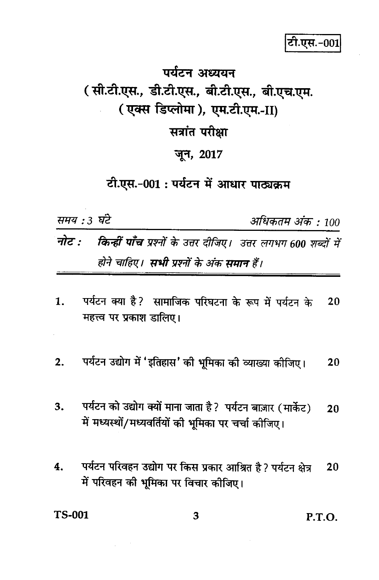## पर्यटन अध्ययन (सी.टी.एस., डी.टी.एस., बी.टी.एस., बी.एच.एम. (एक्स डिप्लोमा), एम.टी.एम.-II) सत्रांत परीक्षा जून, 2017

## टी.एस.-001: पर्यटन में आधार पाठ्यक्रम

समय : 3 घंटे

अधिकतम अंक : 100

- नोट : किन्हीं पाँच प्रश्नों के उत्तर दीजिए। उत्तर लगभग 600 शब्दों में होने चाहिए। **सभी प्र**श्नों के अंक **समान** हैं।
- पर्यटन क्या है? सामाजिक परिघटना के रूप में पर्यटन के  $\mathbf{1}$ .  $20$ महत्त्व पर प्रकाश डालिए।
- पर्यटन उद्योग में 'इतिहास' की भूमिका की व्याख्या कीजिए।  $2.$ 20
- पर्यटन को उद्योग क्यों माना जाता है? पर्यटन बाज़ार (मार्केट) 3.  $20$ में मध्यस्थों/मध्यवर्तियों की भूमिका पर चर्चा कीजिए।
- पर्यटन परिवहन उद्योग पर किस प्रकार आश्रित है ? पर्यटन क्षेत्र 4. 20 में परिवहन की भूमिका पर विचार कीजिए।

**TS-001** 

3

P.T.O.